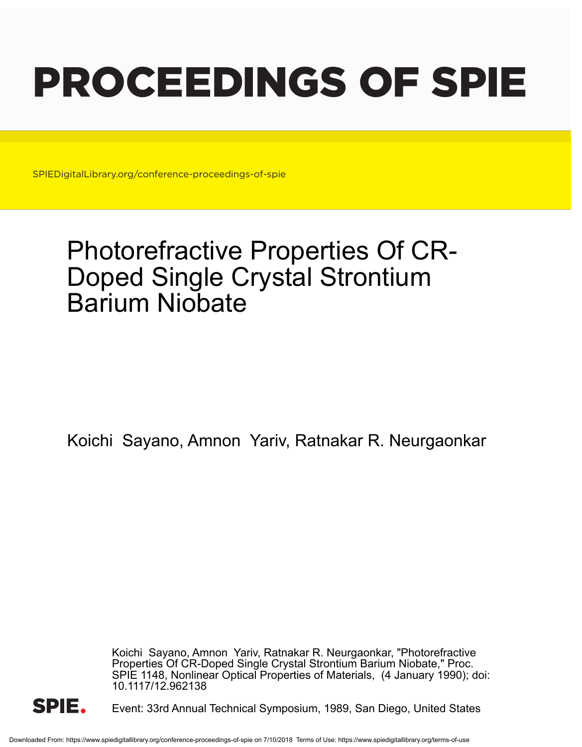# PROCEEDINGS OF SPIE

SPIEDigitalLibrary.org/conference-proceedings-of-spie

# Photorefractive Properties Of CR-Doped Single Crystal Strontium Barium Niobate

Koichi Sayano, Amnon Yariv, Ratnakar R. Neurgaonkar

Koichi Sayano, Amnon Yariv, Ratnakar R. Neurgaonkar, "Photorefractive Properties Of CR-Doped Single Crystal Strontium Barium Niobate," Proc. SPIE 1148, Nonlinear Optical Properties of Materials, (4 January 1990); doi: 10.1117/12.962138



Event: 33rd Annual Technical Symposium, 1989, San Diego, United States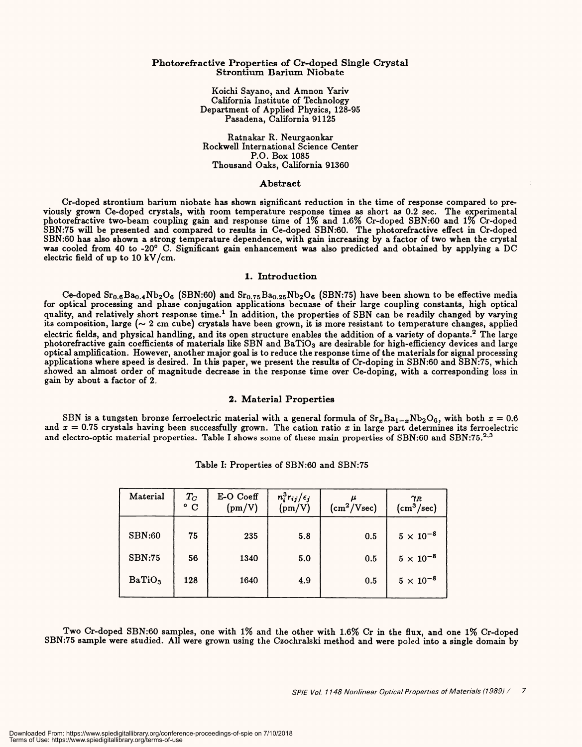#### Photorefractive Properties of Cr -doped Single Crystal Strontium Barium Niobate Photorefractive Properties of Cr-doped Single Crystal Strontium Barium Niobate

Koichi Sayano, and Amnon Yariv Koichi Sayano, and Amnon Yariv California Institute of Technology California Institute of Technology Department of Applied Physics, 128 -95 Department of Applied Physics, 128-95 Pasadena, California 91125 Pasadena, California 91125

Ratnakar R. Neurgaonkar Ratnakar R. Neurgaonkar Rockwell International Science Center Rockwell International Science Center P.O. Box 1085 P.O. Box 1085 Thousand Oaks, California 91360 Thousand Oaks, California 91360

## Abstract Abstract

Cr-doped strontium barium niobate has shown significant reduction in the time of response compared to pre-<br>viously grown Ce-doped crystals, with room temperature response times as short as 0.2 sec. The experimental<br>photor electric field of up to 10 kV /cm. electric field of up to 10 kV/cm. Cr-doped strontium barium niobate has shown significant reduction in the time of response compared to previously grown Ce-doped crystals, with room temperature response times as short as 0.2 sec. The experimental photorefractive two-beam coupling gain and response time of 1% and 1.6% Cr-doped SBN:60 and 1% Cr-doped SBN:75 will be presented and compared to results in Ce-doped SBN:60. The photorefractive effect in Cr-doped SBN:60 has also shown a strong temperature dependence, with gain increasing by a factor of two when the crystal

## 1. Introduction 1. Introduction

Ce-doped Sr<sub>0.6</sub>Ba<sub>0.4</sub>Nb<sub>2</sub>O<sub>6</sub> (SBN:60) and Sr<sub>0.75</sub>Ba<sub>0.25</sub>Nb<sub>2</sub>O<sub>6</sub> (SBN:75) have been shown to be effective media for optical processing and phase conjugation applications becuase of their large coupling constants, high optical quality, and relatively short response time.<sup>1</sup> In addition, the properties of SBN can be readily changed by varying its composition, large ( $\sim 2$  cm cube) crystals have been grown, it is more resistant to temperature changes, applied electric fields, and physical handling, and its open structure enables the addition of a variety of dopants.<sup>2</sup> The large<br>photorefractive gain coefficients of materials like SBN and BaTiO<sub>3</sub> are desirable for high-efficien optical amplification. However, another major goal is to reduce the response time of the materials for signal processing applications where speed is desired. In this paper, we present the results of Cr-doping in SBN:60 and SBN:75, which showed an almost order of magnitude decrease in the response time over Ce- doping, with a corresponding loss in showed an almost order of magnitude decrease in the response time over Ce-doping, with a corresponding loss in gain by about a factor of 2. <sup>p</sup>hotorefractive gain coefficients of materials like SBN and BaTiOs are desirable for high-efficiency devices and large

## 2. Material Properties 2. Material Properties

SBN is a tungsten bronze ferroelectric material with a general formula of  $Sr_xBa_{1-x}Nb_2O_6$ , with both  $x=0.6$ and  $x = 0.75$  crystals having been successfully grown. The cation ratio x in large part determines its ferroelectric and electro-optic material properties. Table I shows some of these main properties of SBN:60 and SBN:75.<sup>2,3</sup>

| Material           | $T_C$ o C | E-O Coeff<br>(pm/V) | $\frac{n_i^3r_{ij}/\epsilon_j}{\text{(pm/V)}}$ | (cm <sup>2</sup> /Vsec) | $\gamma_R$<br>$\left(\text{cm}^3/\text{sec}\right)$ |
|--------------------|-----------|---------------------|------------------------------------------------|-------------------------|-----------------------------------------------------|
| <b>SBN:60</b>      | 75        | 235                 | 5.8                                            | 0.5                     | $5\times10^{-8}$                                    |
| <b>SBN:75</b>      | 56        | 1340                | 5.0                                            | 0.5                     | $5\times10^{-8}$                                    |
| BaTiO <sub>3</sub> | 128       | 1640                | 4.9                                            | 0.5                     | $5 \times 10^{-8}$                                  |

Table I: Properties of SBN:60 and SBN:75 Table I: Properties of SBN:60 and SBN:75

Two Cr-doped SBN:60 samples, one with 1% and the other with 1.6% Cr in the flux, and one 1% Cr-doped<br>SBN:75 sample were studied. All were grown using the Czochralski method and were poled into a single domain by Two Cr-doped SBN:60 samples, one with 1% and the other with 1.6% Cr in the flux, and one 1% Cr-doped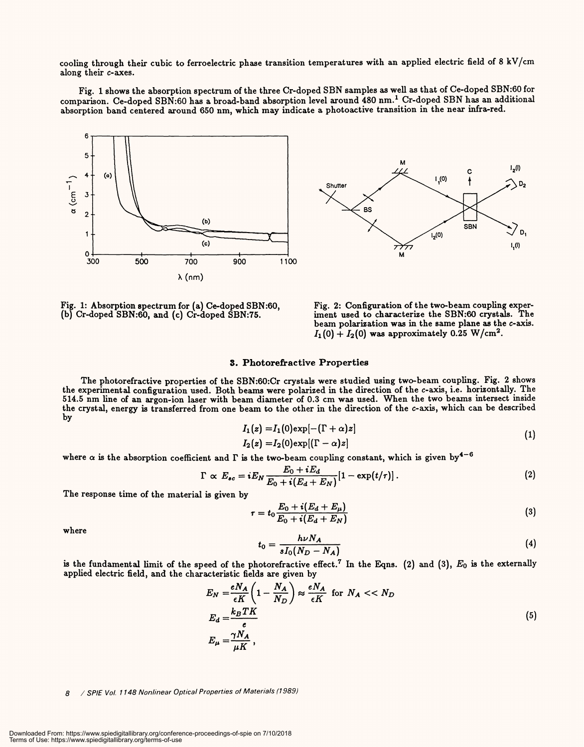cooling through their cubic to ferroelectric phase transition temperatures with an applied electric field of 8 kV/cm along their *c*-axes.

Fig. 1 shows the absorption spectrum of the three Cr -doped SBN samples as well as that of Ce -doped SBN:60 for Fig. 1 shows the absorption spectrum of the three Cr-doped SEN samples as well as that of Ce-doped SBN:60 for comparison. Ce -doped SBN:60 has a broad -band absorption level around 480 nm.1 Cr -doped SBN has an additional comparison. Ce-doped SBN:60 has a broad-band absorption level around 480 nm. <sup>1</sup>Cr-doped SEN has an additional absorption band centered around 650 nm, which may indicate a photoactive transition in the near infra -red. absorption band centered around 650 nm, which may indicate a photoactive transition in the near infra-red.





Fig. 1: Absorption spectrum for (a) Ce -doped SBN:60, (b) Cr -doped SBN:60, and (c) Cr -doped SBN:75. (b) Cr-doped SBN:60, and (c) Cr-doped SBN:75. Fig. 1: Absorption spectrum for (a) Ce-doped SEN:60,

Fig. 2: Configuration of the two-beam coupling exper-Fig. 2: Configuration of the two-beam coupling experiment used to characterize the SBN:60 crystals. The<br>beam polarization was in the same plane as the c-axis.  $I_1(0) + I_2(0)$  was approximately 0.25 W/cm<sup>2</sup>. beam polarization was in the same plane as the c-axis.

## 3. Photorefractive Properties 3. Photorefractive Properties

The photorefractive properties of the SBN:60:Cr crystals were studied using two-beam coupling. Fig. 2 shows The photorefractive properties of the SBN:60:Cr crystals were studied using two-beam coupling. Fig. 2 shows the experimental configuration used. Both beams were polarized in the direction of the c-axis, i.e. horizontally. The<br>514.5 nm line of an argon-ion laser with beam diameter of 0.3 cm was used. When the two beams intersect the crystal, energy is transferred from one beam to the other in the direction of the c-axis, which can be described by by 514.5 nm line of an argon-ion laser with beam diameter of 0.3 cm was used. When the two beams intersect inside

$$
I_1(z) = I_1(0) \exp[-(\Gamma + \alpha)z]
$$
  
\n
$$
I_2(z) = I_2(0) \exp[(\Gamma - \alpha)z]
$$
\n(1)

where  $\alpha$  is the absorption coefficient and  $\Gamma$  is the two-beam coupling constant, which is given by<sup>4-6</sup>

$$
\Gamma \propto E_{sc} = iE_N \frac{E_0 + iE_d}{E_0 + i(E_d + E_N)} [1 - \exp(t/\tau)]. \qquad (2)
$$

The response time of the material is given by The response time of the material is given by

$$
\tau = t_0 \frac{E_0 + i(E_d + E_\mu)}{E_0 + i(E_d + E_N)}
$$
\n
$$
\tag{3}
$$

where where

$$
t_0 = \frac{h\nu N_A}{sI_0(N_D - N_A)}\tag{4}
$$

is the fundamental limit of the speed of the photorefractive effect.<sup>7</sup> In the Eqns. (2) and (3),  $E_0$  is the externally applied electric field, and the characteristic fields are given by

$$
E_N = \frac{eN_A}{\epsilon K} \left( 1 - \frac{N_A}{N_D} \right) \approx \frac{eN_A}{\epsilon K} \text{ for } N_A < < N_D
$$
\n
$$
E_d = \frac{k_B T K}{e}
$$
\n
$$
E_{\mu} = \frac{\gamma N_A}{\mu K},\tag{5}
$$

#### 8 / SPIE Vol. 1148 Nonlinear Optical Properties of Materials (1989) 8 / SPIE Vol. 1148 Nonlinear Optical Properties of Materials (1989)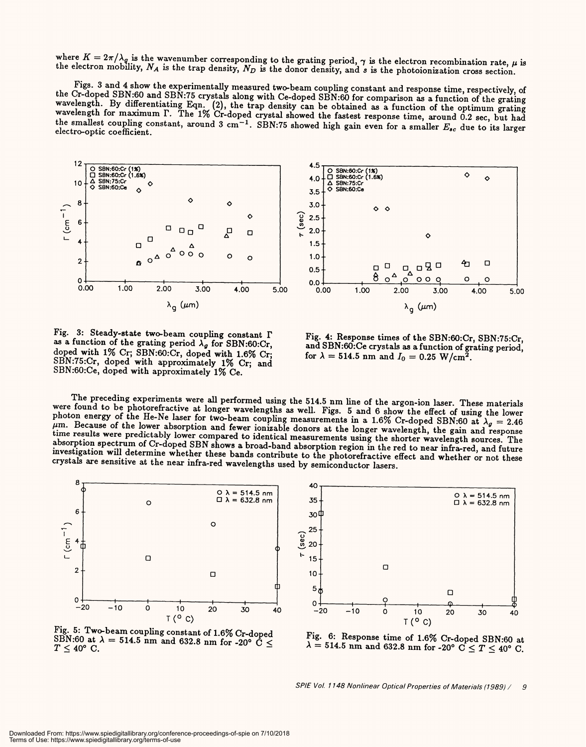where  $K = 2\pi/\lambda_q$  is the wavenumber corresponding to the grating period,  $\gamma$  is the electron recombination rate,  $\mu$  is the electron mobility,  $N_A$  is the trap density,  $N_D$  is the donor density, and s is the photoionization cross section.

Figs. 3 and 4 show the experimentally measured two-beam coupling constant and response time, respectively, of the Cr-doped SBN:60 and SBN:75 crystals along with Ce-doped SBN:60 for comparison as a function of the grating wavelength. By differentiating Eqn. (2), the trap density can be obtained as a function of the optimum grating<br>wavelength for maximum  $\Gamma$ . The 1% Cr-doped crystal showed the fastest response time, around 0.2 sec, but had electro-optic coefficient.





Fig. 3: Steady-state two-beam coupling constant  $\Gamma$ as a function of the grating period  $\lambda_g$  for SBN:60:Cr, doped with 1% Cr; SBN:60:Cr, doped with 1.6% Cr; SBN:75:Cr, doped with approximately 1% Cr; and SBN:60:Ce, doped with approximately 1% Ce.

Fig. 4: Response times of the SBN:60:Cr, SBN:75:Cr, and SBN:60:Ce crystals as a function of grating period, for  $\lambda = 514.5$  nm and  $I_0 = 0.25$  W/cm<sup>2</sup>.

The preceding experiments were all performed using the 514.5 nm line of the argon-ion laser. These materials were found to be photorefractive at longer wavelengths as well. Figs. 5 and 6 show the effect of using the lower photon energy of the He-Ne laser for two-beam coupling measurements in a 1.6% Cr-doped SBN:60 at  $\lambda_g = 2.46$   $\mu$ m. Because of the lower absorption and fewer ionizable donors at the longer wavelength, the gain and respons time results were predictably lower compared to identical measurements using the shorter wavelength sources. The absorption spectrum of Cr-doped SBN shows a broad-band absorption region in the red to near infra-red, and future investigation will determine whether these bands contribute to the photorefractive effect and whether or not these crystals are sensitive at the near infra-red wavelengths used by semiconductor lasers.



Fig. 5: Two-beam coupling constant of 1.6% Cr-doped SBN:60 at  $\lambda = 514.5$  nm and 632.8 nm for -20° C  $\leq$  $T \leq 40^{\circ}$  C.



Fig. 6: Response time of 1.6% Cr-doped SBN:60 at  $\lambda = 514.5$  nm and 632.8 nm for -20° C  $\leq T \leq 40$ ° C.

SPIE Vol. 1148 Nonlinear Optical Properties of Materials (1989) /  $\overline{g}$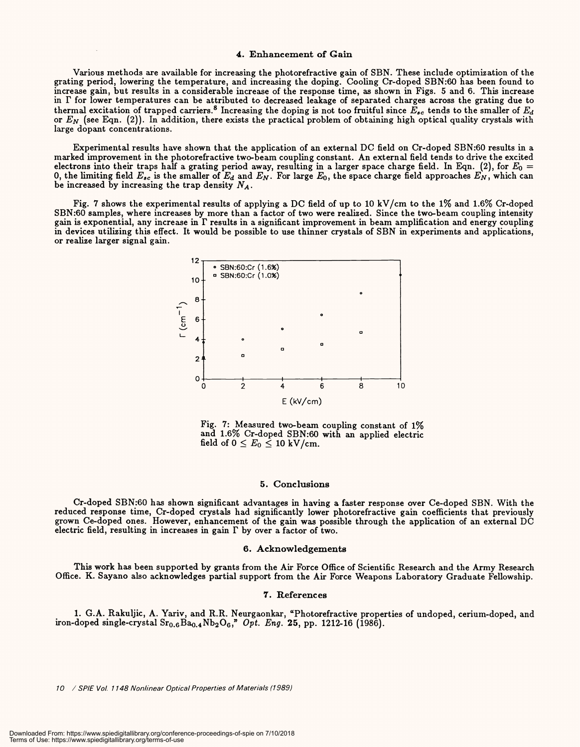#### 4. Enhancement of Gain 4. Enhancement of Gain

Various methods are available for increasing the photorefractive gain of SBN. These include optimization of the<br>grating period, lowering the temperature, and increasing the doping. Cooling Cr-doped SBN:60 has been found to increase gain, but results in a considerable increase of the response time, as shown in Figs. 5 and 6. This increase in  $\Gamma$  for lower temperatures can be attributed to decreased leakage of separated charges across the grating due to thermal excitation of trapped carriers.<sup>8</sup> Increasing the doping is not too fruitful since  $E_{sc}$  tends to the smaller of  $E_d$ <br>or  $E_N$  (see Eqn. (2)). In addition, there exists the practical problem of obtaining high opti large dopant concentrations. large dopant concentrations. grating period, lowering the temperature, and increasing the doping. Cooling Cr-doped SBN:60 has been found to or *EN* (see Eqn. (2)). In addition, there exists the practical problem of obtaining high optical quality crystals with

Experimental results have shown that the application of an external DC field on Cr -doped SBN:60 results in a Experimental results have shown that the application of an external DC field on Cr-doped SBN:60 results in <sup>a</sup> marked improvement in the photorefractive two-beam coupling constant. An external field tends to drive the excited electrons into their traps half a grating period away, resulting in a larger space charge field. In Eqn. (2), for  $E_0 =$ 0, the limiting field  $E_{sc}$  is the smaller of  $E_d$  and  $E_N$ . For large  $E_0$ , the space charge field approaches  $E_N$ , which can<br>be increased by increasing the trap density  $N_A$ . be increased by increasing the trap density  $N_A$ .

Fig. 7 shows the experimental results of applying a DC field of up to 10 kV/cm to the 1% and 1.6% Cr-doped<br>SBN:60 samples, where increases by more than a factor of two were realized. Since the two-beam coupling intensity gain is exponential, any increase in  $\Gamma$  results in a significant improvement in beam amplification and energy coupling in devices utilizing this effect. It would be possible to use thinner crystals of SBN in experiments and applications,<br>or realize larger signal gain. Fig. 7 shows the experimental results of applying a DC field of up to 10 kV/cm to the *1%* and 1.6% Cr-doped or realize larger signal gain.



Fig. 7: Measured two-beam coupling constant of 1% Fig. 7: Measured two-beam coupling constant of 1% and 1.6% Cr -doped SBN:60 with an applied electric and 1.6% Cr-doped SBN:60 with an applied electric field of  $0\leq E_0\leq$  10 kV/cm.

#### 5. Conclusions 5. Conclusions

Cr -doped SBN:60 has shown significant advantages in having a faster response over Ce -doped SBN. With the Cr-doped SBN:60 has shown significant advantages in having a faster response over Ce-doped SBN. With the reduced response time, Cr-doped crystals had significantly lower photorefractive gain coefficients that previously grown Ce -doped ones. However, enhancement of the gain was possible through the application of an external DC grown Ce-doped ones. However, enhancement of the gain was possible through the application of an external DC electric field, resulting in increases in gain  $\Gamma$  by over a factor of two.

#### 6. Acknowledgements 6. Acknowledgements

This work has been supported by grants from the Air Force Office of Scientific Research and the Army Research<br>Office. K. Sayano also acknowledges partial support from the Air Force Weapons Laboratory Graduate Fellowship. Office. K. Sayano also acknowledges partial support from the Air Force Weapons Laboratory Graduate Fellowship.

#### 7. References 7. References

1. G.A. Rakuljic, A. Yariv, and R.R. Neurgaonkar, "Photorefractive properties of undoped, cerium -doped, and 1. G.A. Rakuljic, A. Yariv, and R.R. Neurgaonkar, "Photorefractive properties of undoped, cerium-doped, and iron -doped single -crystal Sr0.6Bao.4Nb2O6," Opt. Eng. 25, pp. 1212 -16 (1986). iron-doped single-crystal Sr0.6Bao.4Nb2 O<sup>6</sup> ,>' *Opt. Eng.* 25, pp. 1212-16 (1986).

10 / SPIE Vol. 1148 Nonlinear Optical Properties of Materials (1989) 10 / SPIE Vol. 1148 Nonlinear Optical Properties of Materials (1989)